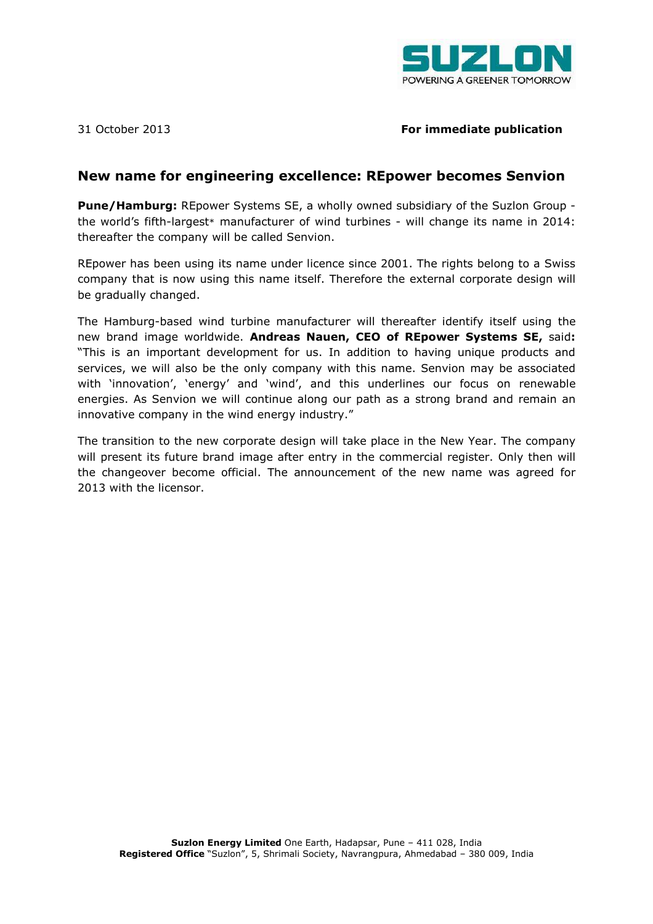

# 31 October 2013 **For immediate publication**

# **New name for engineering excellence: REpower becomes Senvion**

**Pune/Hamburg:** REpower Systems SE, a wholly owned subsidiary of the Suzlon Group the world's fifth-largest\* manufacturer of wind turbines - will change its name in 2014: thereafter the company will be called Senvion.

REpower has been using its name under licence since 2001. The rights belong to a Swiss company that is now using this name itself. Therefore the external corporate design will be gradually changed.

The Hamburg-based wind turbine manufacturer will thereafter identify itself using the new brand image worldwide. **Andreas Nauen, CEO of REpower Systems SE,** said**:** "This is an important development for us. In addition to having unique products and services, we will also be the only company with this name. Senvion may be associated with 'innovation', 'energy' and 'wind', and this underlines our focus on renewable energies. As Senvion we will continue along our path as a strong brand and remain an innovative company in the wind energy industry."

The transition to the new corporate design will take place in the New Year. The company will present its future brand image after entry in the commercial register. Only then will the changeover become official. The announcement of the new name was agreed for 2013 with the licensor.